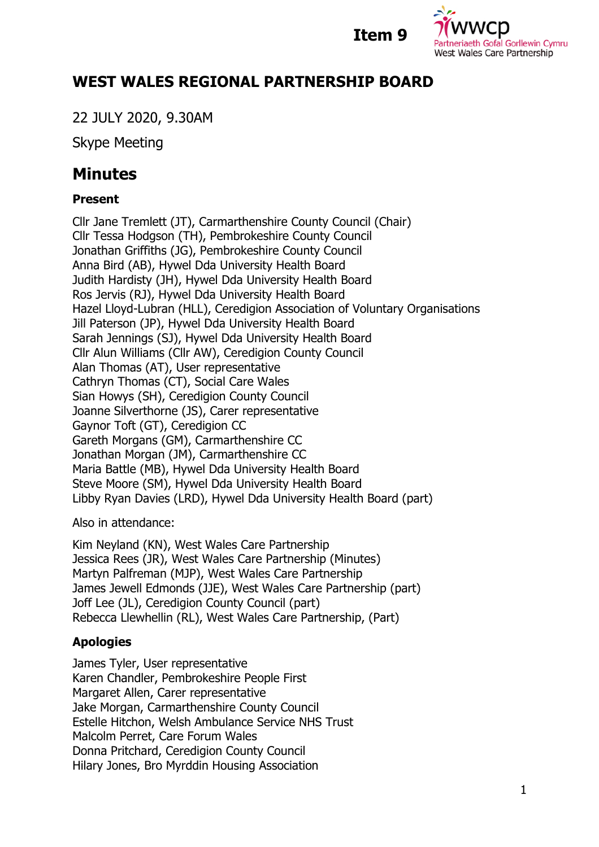

**Item 9**

## **WEST WALES REGIONAL PARTNERSHIP BOARD**

22 JULY 2020, 9.30AM

Skype Meeting

# **Minutes**

## **Present**

Cllr Jane Tremlett (JT), Carmarthenshire County Council (Chair) Cllr Tessa Hodgson (TH), Pembrokeshire County Council Jonathan Griffiths (JG), Pembrokeshire County Council Anna Bird (AB), Hywel Dda University Health Board Judith Hardisty (JH), Hywel Dda University Health Board Ros Jervis (RJ), Hywel Dda University Health Board Hazel Lloyd-Lubran (HLL), Ceredigion Association of Voluntary Organisations Jill Paterson (JP), Hywel Dda University Health Board Sarah Jennings (SJ), Hywel Dda University Health Board Cllr Alun Williams (Cllr AW), Ceredigion County Council Alan Thomas (AT), User representative Cathryn Thomas (CT), Social Care Wales Sian Howys (SH), Ceredigion County Council Joanne Silverthorne (JS), Carer representative Gaynor Toft (GT), Ceredigion CC Gareth Morgans (GM), Carmarthenshire CC Jonathan Morgan (JM), Carmarthenshire CC Maria Battle (MB), Hywel Dda University Health Board Steve Moore (SM), Hywel Dda University Health Board Libby Ryan Davies (LRD), Hywel Dda University Health Board (part)

Also in attendance:

Kim Neyland (KN), West Wales Care Partnership Jessica Rees (JR), West Wales Care Partnership (Minutes) Martyn Palfreman (MJP), West Wales Care Partnership James Jewell Edmonds (JJE), West Wales Care Partnership (part) Joff Lee (JL), Ceredigion County Council (part) Rebecca Llewhellin (RL), West Wales Care Partnership, (Part)

## **Apologies**

James Tyler, User representative Karen Chandler, Pembrokeshire People First Margaret Allen, Carer representative Jake Morgan, Carmarthenshire County Council Estelle Hitchon, Welsh Ambulance Service NHS Trust Malcolm Perret, Care Forum Wales Donna Pritchard, Ceredigion County Council Hilary Jones, Bro Myrddin Housing Association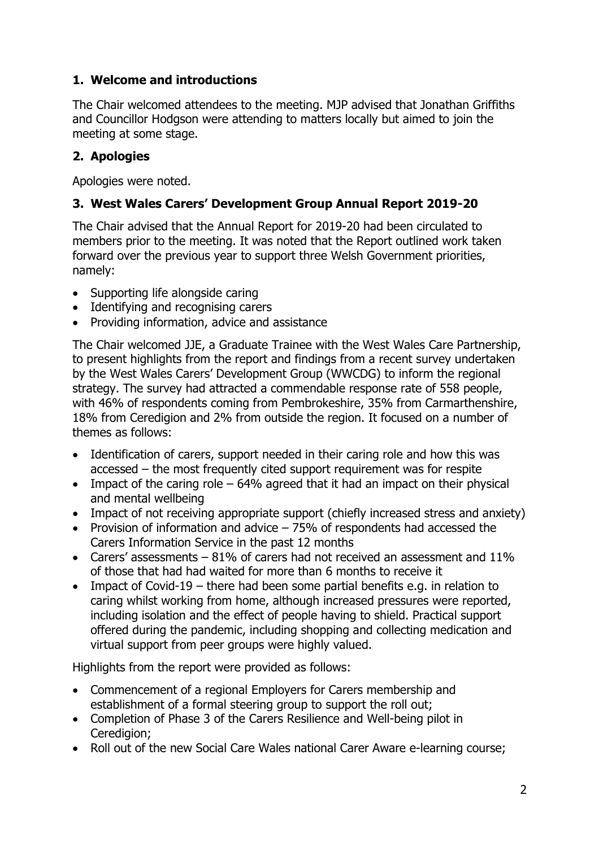## **1. Welcome and introductions**

The Chair welcomed attendees to the meeting. MJP advised that Jonathan Griffiths and Councillor Hodgson were attending to matters locally but aimed to join the meeting at some stage.

## **2. Apologies**

Apologies were noted.

## **3. West Wales Carers' Development Group Annual Report 2019-20**

The Chair advised that the Annual Report for 2019-20 had been circulated to members prior to the meeting. It was noted that the Report outlined work taken forward over the previous year to support three Welsh Government priorities, namely:

- Supporting life alongside caring
- Identifying and recognising carers
- Providing information, advice and assistance

The Chair welcomed JJE, a Graduate Trainee with the West Wales Care Partnership, to present highlights from the report and findings from a recent survey undertaken by the West Wales Carers' Development Group (WWCDG) to inform the regional strategy. The survey had attracted a commendable response rate of 558 people, with 46% of respondents coming from Pembrokeshire, 35% from Carmarthenshire, 18% from Ceredigion and 2% from outside the region. It focused on a number of themes as follows:

- Identification of carers, support needed in their caring role and how this was accessed – the most frequently cited support requirement was for respite
- Impact of the caring role  $-64%$  agreed that it had an impact on their physical and mental wellbeing
- Impact of not receiving appropriate support (chiefly increased stress and anxiety)
- Provision of information and advice  $-75%$  of respondents had accessed the Carers Information Service in the past 12 months
- Carers' assessments  $-81\%$  of carers had not received an assessment and  $11\%$ of those that had had waited for more than 6 months to receive it
- Impact of Covid-19 there had been some partial benefits e.g. in relation to caring whilst working from home, although increased pressures were reported, including isolation and the effect of people having to shield. Practical support offered during the pandemic, including shopping and collecting medication and virtual support from peer groups were highly valued.

Highlights from the report were provided as follows:

- Commencement of a regional Employers for Carers membership and establishment of a formal steering group to support the roll out;
- Completion of Phase 3 of the Carers Resilience and Well-being pilot in Ceredigion:
- Roll out of the new Social Care Wales national Carer Aware e-learning course;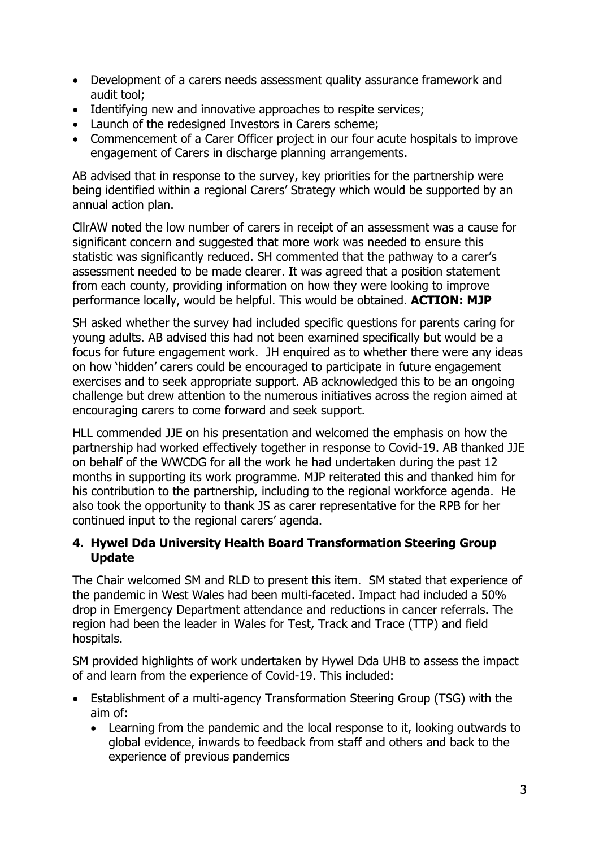- Development of a carers needs assessment quality assurance framework and audit tool;
- Identifying new and innovative approaches to respite services;
- Launch of the redesigned Investors in Carers scheme;
- Commencement of a Carer Officer project in our four acute hospitals to improve engagement of Carers in discharge planning arrangements.

AB advised that in response to the survey, key priorities for the partnership were being identified within a regional Carers' Strategy which would be supported by an annual action plan.

CllrAW noted the low number of carers in receipt of an assessment was a cause for significant concern and suggested that more work was needed to ensure this statistic was significantly reduced. SH commented that the pathway to a carer's assessment needed to be made clearer. It was agreed that a position statement from each county, providing information on how they were looking to improve performance locally, would be helpful. This would be obtained. **ACTION: MJP**

SH asked whether the survey had included specific questions for parents caring for young adults. AB advised this had not been examined specifically but would be a focus for future engagement work. JH enquired as to whether there were any ideas on how 'hidden' carers could be encouraged to participate in future engagement exercises and to seek appropriate support. AB acknowledged this to be an ongoing challenge but drew attention to the numerous initiatives across the region aimed at encouraging carers to come forward and seek support.

HLL commended JJE on his presentation and welcomed the emphasis on how the partnership had worked effectively together in response to Covid-19. AB thanked JJE on behalf of the WWCDG for all the work he had undertaken during the past 12 months in supporting its work programme. MJP reiterated this and thanked him for his contribution to the partnership, including to the regional workforce agenda. He also took the opportunity to thank JS as carer representative for the RPB for her continued input to the regional carers' agenda.

#### **4. Hywel Dda University Health Board Transformation Steering Group Update**

The Chair welcomed SM and RLD to present this item. SM stated that experience of the pandemic in West Wales had been multi-faceted. Impact had included a 50% drop in Emergency Department attendance and reductions in cancer referrals. The region had been the leader in Wales for Test, Track and Trace (TTP) and field hospitals.

SM provided highlights of work undertaken by Hywel Dda UHB to assess the impact of and learn from the experience of Covid-19. This included:

- Establishment of a multi-agency Transformation Steering Group (TSG) with the aim of:
	- Learning from the pandemic and the local response to it, looking outwards to global evidence, inwards to feedback from staff and others and back to the experience of previous pandemics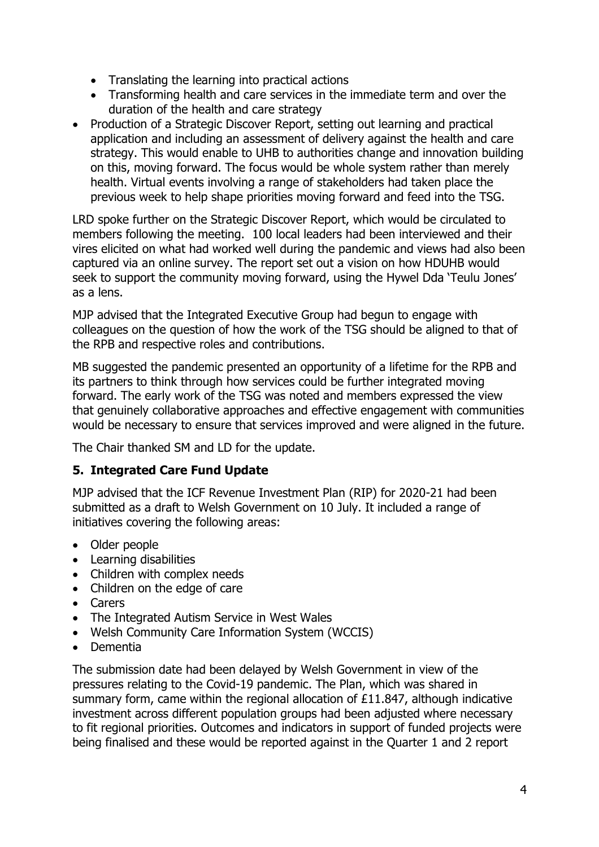- Translating the learning into practical actions
- Transforming health and care services in the immediate term and over the duration of the health and care strategy
- Production of a Strategic Discover Report, setting out learning and practical application and including an assessment of delivery against the health and care strategy. This would enable to UHB to authorities change and innovation building on this, moving forward. The focus would be whole system rather than merely health. Virtual events involving a range of stakeholders had taken place the previous week to help shape priorities moving forward and feed into the TSG.

LRD spoke further on the Strategic Discover Report, which would be circulated to members following the meeting. 100 local leaders had been interviewed and their vires elicited on what had worked well during the pandemic and views had also been captured via an online survey. The report set out a vision on how HDUHB would seek to support the community moving forward, using the Hywel Dda 'Teulu Jones' as a lens.

MJP advised that the Integrated Executive Group had begun to engage with colleagues on the question of how the work of the TSG should be aligned to that of the RPB and respective roles and contributions.

MB suggested the pandemic presented an opportunity of a lifetime for the RPB and its partners to think through how services could be further integrated moving forward. The early work of the TSG was noted and members expressed the view that genuinely collaborative approaches and effective engagement with communities would be necessary to ensure that services improved and were aligned in the future.

The Chair thanked SM and LD for the update.

## **5. Integrated Care Fund Update**

MJP advised that the ICF Revenue Investment Plan (RIP) for 2020-21 had been submitted as a draft to Welsh Government on 10 July. It included a range of initiatives covering the following areas:

- Older people
- Learning disabilities
- Children with complex needs
- Children on the edge of care
- Carers
- The Integrated Autism Service in West Wales
- Welsh Community Care Information System (WCCIS)
- Dementia

The submission date had been delayed by Welsh Government in view of the pressures relating to the Covid-19 pandemic. The Plan, which was shared in summary form, came within the regional allocation of £11.847, although indicative investment across different population groups had been adjusted where necessary to fit regional priorities. Outcomes and indicators in support of funded projects were being finalised and these would be reported against in the Quarter 1 and 2 report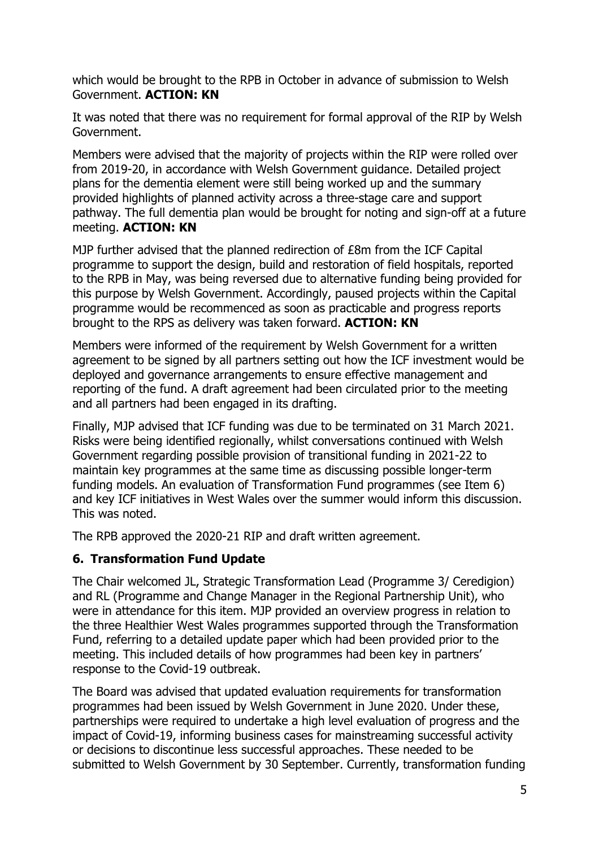which would be brought to the RPB in October in advance of submission to Welsh Government. **ACTION: KN**

It was noted that there was no requirement for formal approval of the RIP by Welsh Government.

Members were advised that the majority of projects within the RIP were rolled over from 2019-20, in accordance with Welsh Government guidance. Detailed project plans for the dementia element were still being worked up and the summary provided highlights of planned activity across a three-stage care and support pathway. The full dementia plan would be brought for noting and sign-off at a future meeting. **ACTION: KN**

MJP further advised that the planned redirection of £8m from the ICF Capital programme to support the design, build and restoration of field hospitals, reported to the RPB in May, was being reversed due to alternative funding being provided for this purpose by Welsh Government. Accordingly, paused projects within the Capital programme would be recommenced as soon as practicable and progress reports brought to the RPS as delivery was taken forward. **ACTION: KN**

Members were informed of the requirement by Welsh Government for a written agreement to be signed by all partners setting out how the ICF investment would be deployed and governance arrangements to ensure effective management and reporting of the fund. A draft agreement had been circulated prior to the meeting and all partners had been engaged in its drafting.

Finally, MJP advised that ICF funding was due to be terminated on 31 March 2021. Risks were being identified regionally, whilst conversations continued with Welsh Government regarding possible provision of transitional funding in 2021-22 to maintain key programmes at the same time as discussing possible longer-term funding models. An evaluation of Transformation Fund programmes (see Item 6) and key ICF initiatives in West Wales over the summer would inform this discussion. This was noted.

The RPB approved the 2020-21 RIP and draft written agreement.

#### **6. Transformation Fund Update**

The Chair welcomed JL, Strategic Transformation Lead (Programme 3/ Ceredigion) and RL (Programme and Change Manager in the Regional Partnership Unit), who were in attendance for this item. MJP provided an overview progress in relation to the three Healthier West Wales programmes supported through the Transformation Fund, referring to a detailed update paper which had been provided prior to the meeting. This included details of how programmes had been key in partners' response to the Covid-19 outbreak.

The Board was advised that updated evaluation requirements for transformation programmes had been issued by Welsh Government in June 2020. Under these, partnerships were required to undertake a high level evaluation of progress and the impact of Covid-19, informing business cases for mainstreaming successful activity or decisions to discontinue less successful approaches. These needed to be submitted to Welsh Government by 30 September. Currently, transformation funding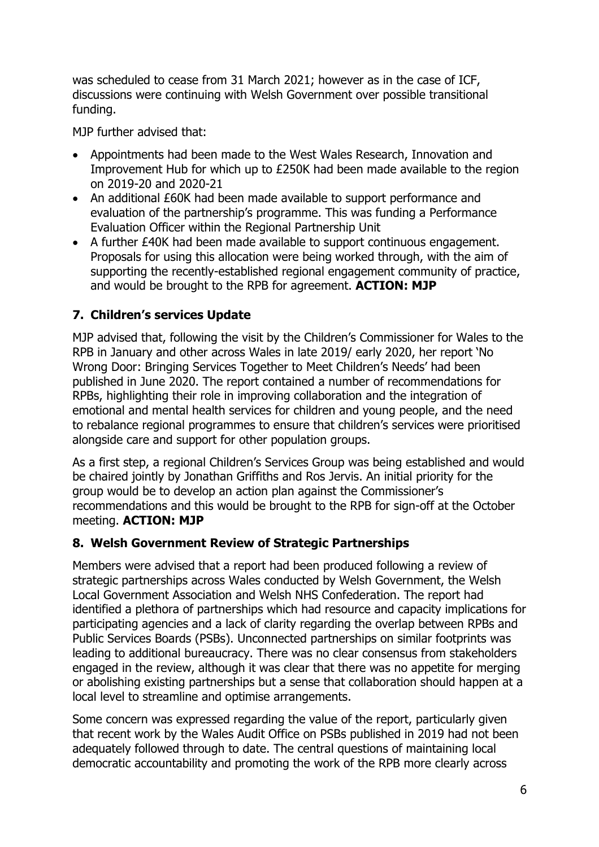was scheduled to cease from 31 March 2021; however as in the case of ICF, discussions were continuing with Welsh Government over possible transitional funding.

MJP further advised that:

- Appointments had been made to the West Wales Research, Innovation and Improvement Hub for which up to £250K had been made available to the region on 2019-20 and 2020-21
- An additional £60K had been made available to support performance and evaluation of the partnership's programme. This was funding a Performance Evaluation Officer within the Regional Partnership Unit
- A further £40K had been made available to support continuous engagement. Proposals for using this allocation were being worked through, with the aim of supporting the recently-established regional engagement community of practice, and would be brought to the RPB for agreement. **ACTION: MJP**

## **7. Children's services Update**

MJP advised that, following the visit by the Children's Commissioner for Wales to the RPB in January and other across Wales in late 2019/ early 2020, her report 'No Wrong Door: Bringing Services Together to Meet Children's Needs' had been published in June 2020. The report contained a number of recommendations for RPBs, highlighting their role in improving collaboration and the integration of emotional and mental health services for children and young people, and the need to rebalance regional programmes to ensure that children's services were prioritised alongside care and support for other population groups.

As a first step, a regional Children's Services Group was being established and would be chaired jointly by Jonathan Griffiths and Ros Jervis. An initial priority for the group would be to develop an action plan against the Commissioner's recommendations and this would be brought to the RPB for sign-off at the October meeting. **ACTION: MJP**

## **8. Welsh Government Review of Strategic Partnerships**

Members were advised that a report had been produced following a review of strategic partnerships across Wales conducted by Welsh Government, the Welsh Local Government Association and Welsh NHS Confederation. The report had identified a plethora of partnerships which had resource and capacity implications for participating agencies and a lack of clarity regarding the overlap between RPBs and Public Services Boards (PSBs). Unconnected partnerships on similar footprints was leading to additional bureaucracy. There was no clear consensus from stakeholders engaged in the review, although it was clear that there was no appetite for merging or abolishing existing partnerships but a sense that collaboration should happen at a local level to streamline and optimise arrangements.

Some concern was expressed regarding the value of the report, particularly given that recent work by the Wales Audit Office on PSBs published in 2019 had not been adequately followed through to date. The central questions of maintaining local democratic accountability and promoting the work of the RPB more clearly across